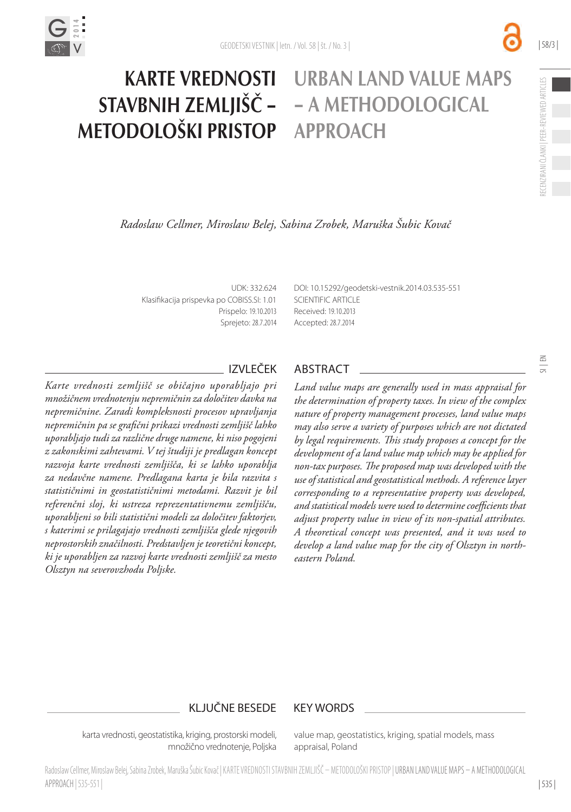

 $\frac{5}{2}$ 

## *Radoslaw Cellmer, Miroslaw Belej, Sabina Zrobek, Maruška Šubic Kovač*

UDK: 332.624 Klasifikacija prispevka po COBISS.SI: 1.01 Prispelo: 19.10.2013 Sprejeto: 28.7.2014

KARTE VREDNOSTI

STAVBNIH ZEMLJIŠČ –

METODOLOŠKI PRISTOP

[DOI:](http://dx.doi.org/10.15292/geodetski-vestnik.2014.03.535-551vestnik.2014.02.327-341) 10.15292/geodetski-vestnik.2014.03.535-551 SCIENTIFIC ARTICLE Received: 19.10.2013 Accepted: 28.7.2014

URBAN LAND VALUE MAPS

– A METHODOLOGICAL

APPROACH

*Karte vrednosti zemljišč se običajno uporabljajo pri množičnem vrednotenju nepremičnin za določitev davka na nepremičnine. Zaradi kompleksnosti procesov upravljanja nepremičnin pa se grafični prikazi vrednosti zemljišč lahko uporabljajo tudi za različne druge namene, ki niso pogojeni z zakonskimi zahtevami. V tej študiji je predlagan koncept razvoja karte vrednosti zemljišča, ki se lahko uporablja za nedavčne namene. Predlagana karta je bila razvita s statističnimi in geostatističnimi metodami. Razvit je bil referenčni sloj, ki ustreza reprezentativnemu zemljišču, uporabljeni so bili statistični modeli za določitev faktorjev, s katerimi se prilagajajo vrednosti zemljišča glede njegovih neprostorskih značilnosti. Predstavljen je teoretični koncept, ki je uporabljen za razvoj karte vrednosti zemljišč za mesto Olsztyn na severovzhodu Poljske.*

# IZVLEČEK ABSTRACT

*Land value maps are generally used in mass appraisal for the determination of property taxes. In view of the complex nature of property management processes, land value maps may also serve a variety of purposes which are not dictated by legal requirements. This study proposes a concept for the development of a land value map which may be applied for non-tax purposes. The proposed map was developed with the use of statistical and geostatistical methods. A reference layer corresponding to a representative property was developed, and statistical models were used to determine coefficients that adjust property value in view of its non-spatial attributes. A theoretical concept was presented, and it was used to develop a land value map for the city of Olsztyn in northeastern Poland.*

## KLJUČNE BESEDE KEY WORDS

karta vrednosti, geostatistika, kriging, prostorski modeli, množično vrednotenje, Poljska value map, geostatistics, kriging, spatial models, mass appraisal, Poland

Radoslaw Cellmer, Miroslaw Belej, Sabina Zrobek, Maruška Šubic Kovač | KARTE VREDNOSTI STAVBNIH ZEMLJIŠČ – METODOLOŠKI PRISTOP | URBAN LAND VALUE MAPS – A METHODOLOGICAL APPROACH | 535-551 |

| 535 |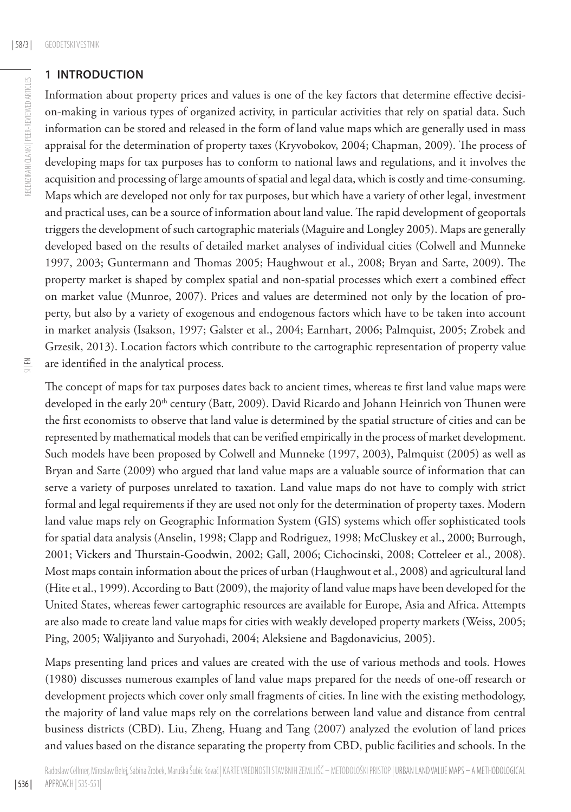RECENZIRANI ČLANKI | PEER-REVIEWED ARTICLES

RECENZIRANI ČLANKI | PEER-REVIEWED ARTICLES

### **1 INTRODUCTION**

Information about property prices and values is one of the key factors that determine effective decision-making in various types of organized activity, in particular activities that rely on spatial data. Such information can be stored and released in the form of land value maps which are generally used in mass appraisal for the determination of property taxes (Kryvobokov, 2004; Chapman, 2009). The process of developing maps for tax purposes has to conform to national laws and regulations, and it involves the acquisition and processing of large amounts of spatial and legal data, which is costly and time-consuming. Maps which are developed not only for tax purposes, but which have a variety of other legal, investment and practical uses, can be a source of information about land value. The rapid development of geoportals triggers the development of such cartographic materials (Maguire and Longley 2005). Maps are generally developed based on the results of detailed market analyses of individual cities (Colwell and Munneke 1997, 2003; Guntermann and Thomas 2005; Haughwout et al., 2008; Bryan and Sarte, 2009). The property market is shaped by complex spatial and non-spatial processes which exert a combined effect on market value (Munroe, 2007). Prices and values are determined not only by the location of property, but also by a variety of exogenous and endogenous factors which have to be taken into account in market analysis (Isakson, 1997; Galster et al., 2004; Earnhart, 2006; Palmquist, 2005; Zrobek and Grzesik, 2013). Location factors which contribute to the cartographic representation of property value are identified in the analytical process.

The concept of maps for tax purposes dates back to ancient times, whereas te first land value maps were developed in the early 20<sup>th</sup> century (Batt, 2009). David Ricardo and Johann Heinrich von Thunen were the first economists to observe that land value is determined by the spatial structure of cities and can be represented by mathematical models that can be verified empirically in the process of market development. Such models have been proposed by Colwell and Munneke (1997, 2003), Palmquist (2005) as well as Bryan and Sarte (2009) who argued that land value maps are a valuable source of information that can serve a variety of purposes unrelated to taxation. Land value maps do not have to comply with strict formal and legal requirements if they are used not only for the determination of property taxes. Modern land value maps rely on Geographic Information System (GIS) systems which offer sophisticated tools for spatial data analysis (Anselin, 1998; Clapp and Rodriguez, 1998; McCluskey et al., 2000; Burrough, 2001; Vickers and Thurstain-Goodwin, 2002; Gall, 2006; Cichocinski, 2008; Cotteleer et al., 2008). Most maps contain information about the prices of urban (Haughwout et al., 2008) and agricultural land (Hite et al., 1999). According to Batt (2009), the majority of land value maps have been developed for the United States, whereas fewer cartographic resources are available for Europe, Asia and Africa. Attempts are also made to create land value maps for cities with weakly developed property markets (Weiss, 2005; Ping, 2005; Waljiyanto and Suryohadi, 2004; Aleksiene and Bagdonavicius, 2005).

Maps presenting land prices and values are created with the use of various methods and tools. Howes (1980) discusses numerous examples of land value maps prepared for the needs of one-off research or development projects which cover only small fragments of cities. In line with the existing methodology, the majority of land value maps rely on the correlations between land value and distance from central business districts (CBD). Liu, Zheng, Huang and Tang (2007) analyzed the evolution of land prices and values based on the distance separating the property from CBD, public facilities and schools. In the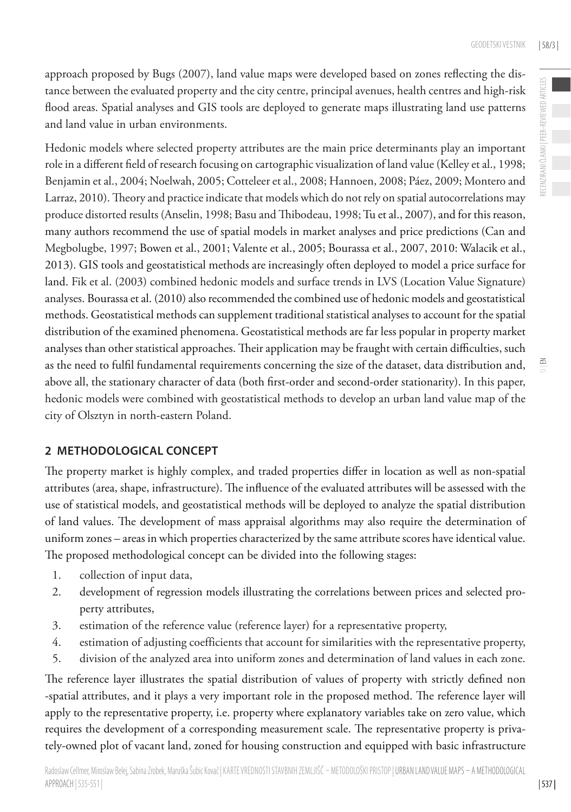RECENZIRANI ČLANKI | PEER-REVIEWED ARTICLES

RECENZIRANI ČLANKI | PEER-REVIEWED ARTICLES

 $\leq$ 

approach proposed by Bugs (2007), land value maps were developed based on zones reflecting the distance between the evaluated property and the city centre, principal avenues, health centres and high-risk flood areas. Spatial analyses and GIS tools are deployed to generate maps illustrating land use patterns and land value in urban environments.

Hedonic models where selected property attributes are the main price determinants play an important role in a different field of research focusing on cartographic visualization of land value (Kelley et al., 1998; Benjamin et al., 2004; Noelwah, 2005; Cotteleer et al., 2008; Hannoen, 2008; Páez, 2009; Montero and Larraz, 2010). Theory and practice indicate that models which do not rely on spatial autocorrelations may produce distorted results (Anselin, 1998; Basu and Thibodeau, 1998; Tu et al., 2007), and for this reason, many authors recommend the use of spatial models in market analyses and price predictions (Can and Megbolugbe, 1997; Bowen et al., 2001; Valente et al., 2005; Bourassa et al., 2007, 2010: Walacik et al., 2013). GIS tools and geostatistical methods are increasingly often deployed to model a price surface for land. Fik et al. (2003) combined hedonic models and surface trends in LVS (Location Value Signature) analyses. Bourassa et al. (2010) also recommended the combined use of hedonic models and geostatistical methods. Geostatistical methods can supplement traditional statistical analyses to account for the spatial distribution of the examined phenomena. Geostatistical methods are far less popular in property market analyses than other statistical approaches. Their application may be fraught with certain difficulties, such as the need to fulfil fundamental requirements concerning the size of the dataset, data distribution and, above all, the stationary character of data (both first-order and second-order stationarity). In this paper, hedonic models were combined with geostatistical methods to develop an urban land value map of the city of Olsztyn in north-eastern Poland.

# **2 METHODOLOGICAL CONCEPT**

The property market is highly complex, and traded properties differ in location as well as non-spatial attributes (area, shape, infrastructure). The influence of the evaluated attributes will be assessed with the use of statistical models, and geostatistical methods will be deployed to analyze the spatial distribution of land values. The development of mass appraisal algorithms may also require the determination of uniform zones – areas in which properties characterized by the same attribute scores have identical value. The proposed methodological concept can be divided into the following stages:

- 1. collection of input data,
- 2. development of regression models illustrating the correlations between prices and selected property attributes,
- 3. estimation of the reference value (reference layer) for a representative property,
- 4. estimation of adjusting coefficients that account for similarities with the representative property,
- 5. division of the analyzed area into uniform zones and determination of land values in each zone.

The reference layer illustrates the spatial distribution of values of property with strictly defined non -spatial attributes, and it plays a very important role in the proposed method. The reference layer will apply to the representative property, i.e. property where explanatory variables take on zero value, which requires the development of a corresponding measurement scale. The representative property is privately-owned plot of vacant land, zoned for housing construction and equipped with basic infrastructure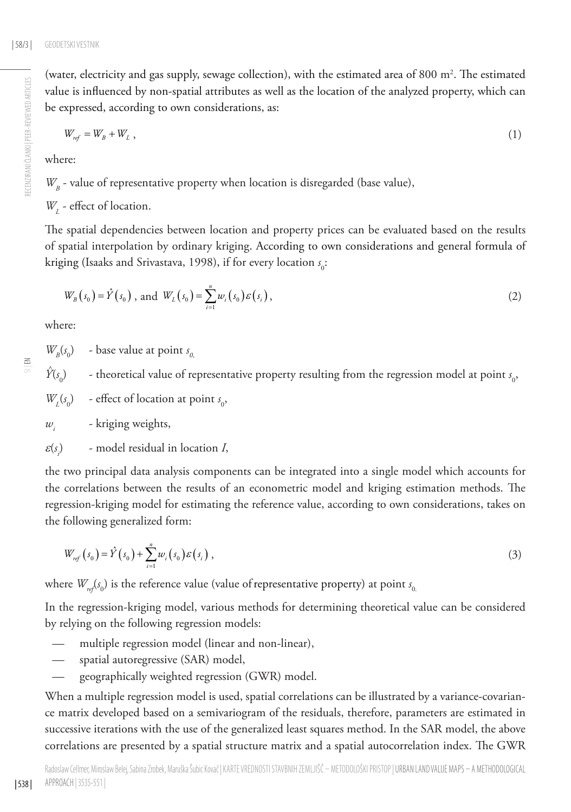(water, electricity and gas supply, sewage collection), with the estimated area of 800  $\mathrm{m}^2$ . The estimated value is influenced by non-spatial attributes as well as the location of the analyzed property, which can be expressed, according to own considerations, as:

$$
W_{ref} = W_B + W_L \t{1}
$$

where:

 $W_p$  - value of representative property when location is disregarded (base value),

*W*<sub>L</sub> - effect of location.

The spatial dependencies between location and property prices can be evaluated based on the results of spatial interpolation by ordinary kriging. According to own considerations and general formula of kriging (Isaaks and Srivastava, 1998), if for every location *s*<sub>0</sub>:

$$
W_B(s_0) = \hat{Y}(s_0), \text{ and } W_L(s_0) = \sum_{i=1}^n w_i(s_0) \varepsilon(s_i), \qquad (2)
$$

where:

 $\leq$ 

| 538 |

 $W_B(s_0)$  - base value at point  $s_{0}$ 

 $\hat{Y}(s_0)$  - theoretical value of representative property resulting from the regression model at point  $s_0$ ,

 $W_L(s_0)$  - effect of location at point  $s_0$ ,

*wi* - kriging weights,

ε(*s i* ) - model residual in location *I*,

the two principal data analysis components can be integrated into a single model which accounts for the correlations between the results of an econometric model and kriging estimation methods. The regression-kriging model for estimating the reference value, according to own considerations, takes on the following generalized form:

$$
W_{ref}(s_0) = \hat{Y}(s_0) + \sum_{i=1}^{n} w_i(s_0) \varepsilon(s_i) , \qquad (3)
$$

where  $W_{\sf ref}(s_0)$  is the reference value (value of representative property) at point  $s_{0}$ 

In the regression-kriging model, various methods for determining theoretical value can be considered by relying on the following regression models:

- multiple regression model (linear and non-linear),
- spatial autoregressive (SAR) model,
- geographically weighted regression (GWR) model.

When a multiple regression model is used, spatial correlations can be illustrated by a variance-covariance matrix developed based on a semivariogram of the residuals, therefore, parameters are estimated in successive iterations with the use of the generalized least squares method. In the SAR model, the above correlations are presented by a spatial structure matrix and a spatial autocorrelation index. The GWR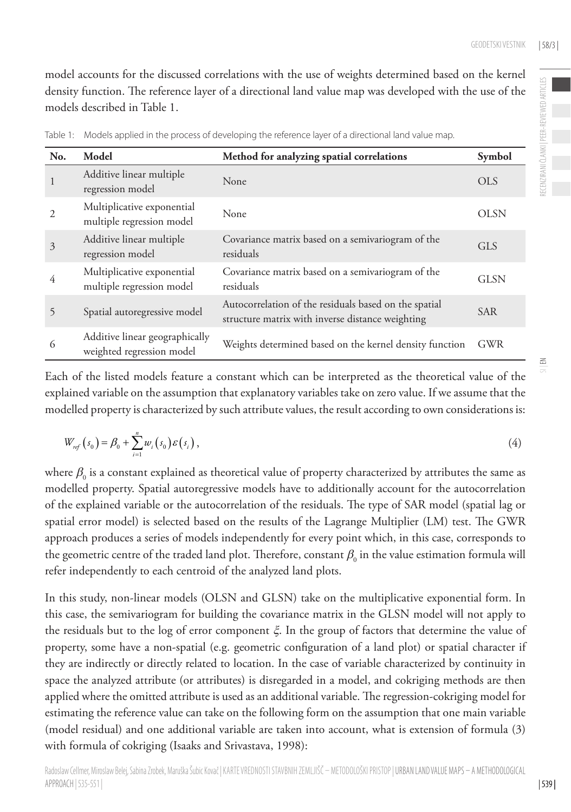model accounts for the discussed correlations with the use of weights determined based on the kernel density function. The reference layer of a directional land value map was developed with the use of the models described in Table 1.

| No.            | Model                                                       | Method for analyzing spatial correlations                                                                 | Symbol      |
|----------------|-------------------------------------------------------------|-----------------------------------------------------------------------------------------------------------|-------------|
|                | Additive linear multiple<br>regression model                | None                                                                                                      | OLS         |
| $\mathfrak{D}$ | Multiplicative exponential<br>multiple regression model     | None                                                                                                      | <b>OLSN</b> |
| 3              | Additive linear multiple<br>regression model                | Covariance matrix based on a semivariogram of the<br>residuals                                            | <b>GLS</b>  |
| 4              | Multiplicative exponential<br>multiple regression model     | Covariance matrix based on a semivariogram of the<br>residuals                                            | GLSN        |
| 5              | Spatial autoregressive model                                | Autocorrelation of the residuals based on the spatial<br>structure matrix with inverse distance weighting | <b>SAR</b>  |
| 6              | Additive linear geographically<br>weighted regression model | Weights determined based on the kernel density function                                                   | GWR         |

Table 1: Models applied in the process of developing the reference layer of a directional land value map.

Each of the listed models feature a constant which can be interpreted as the theoretical value of the explained variable on the assumption that explanatory variables take on zero value. If we assume that the modelled property is characterized by such attribute values, the result according to own considerations is:

$$
W_{ref}(s_0) = \beta_0 + \sum_{i=1}^n w_i(s_0) \varepsilon(s_i), \qquad (4)
$$

where  $\beta_{_0}$  is a constant explained as theoretical value of property characterized by attributes the same as modelled property. Spatial autoregressive models have to additionally account for the autocorrelation of the explained variable or the autocorrelation of the residuals. The type of SAR model (spatial lag or spatial error model) is selected based on the results of the Lagrange Multiplier (LM) test. The GWR approach produces a series of models independently for every point which, in this case, corresponds to the geometric centre of the traded land plot. Therefore, constant  $\beta_{0}$  in the value estimation formula will refer independently to each centroid of the analyzed land plots.

In this study, non-linear models (OLSN and GLSN) take on the multiplicative exponential form. In this case, the semivariogram for building the covariance matrix in the GLSN model will not apply to the residuals but to the log of error component ξ. In the group of factors that determine the value of property, some have a non-spatial (e.g. geometric configuration of a land plot) or spatial character if they are indirectly or directly related to location. In the case of variable characterized by continuity in space the analyzed attribute (or attributes) is disregarded in a model, and cokriging methods are then applied where the omitted attribute is used as an additional variable. The regression-cokriging model for estimating the reference value can take on the following form on the assumption that one main variable (model residual) and one additional variable are taken into account, what is extension of formula (3) with formula of cokriging (Isaaks and Srivastava, 1998):

| 539 |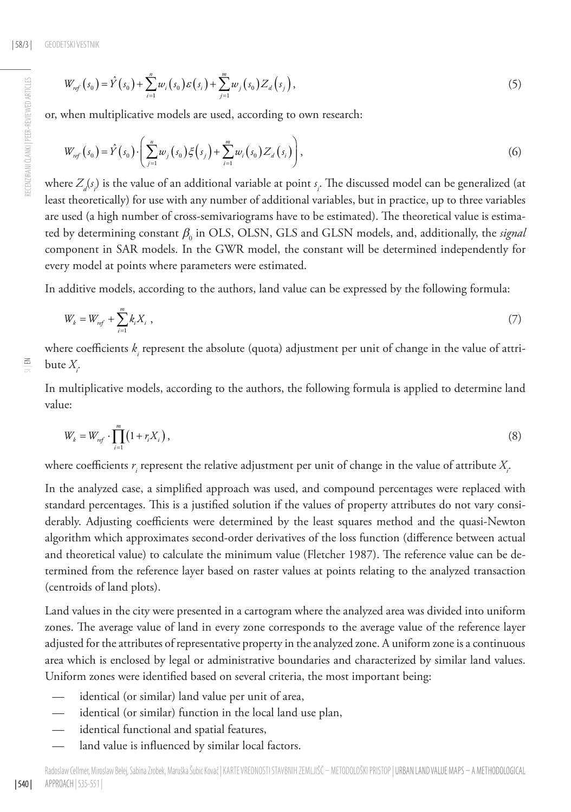$$
W_{ref}(s_0) = \hat{Y}(s_0) + \sum_{i=1}^{n} w_i(s_0) \varepsilon(s_i) + \sum_{j=1}^{m} w_j(s_0) Z_d(s_j), \qquad (5)
$$

or, when multiplicative models are used, according to own research:

$$
W_{ref}(s_0) = \hat{Y}(s_0) \cdot \left(\sum_{j=1}^n w_j(s_0) \xi(s_j) + \sum_{i=1}^m w_i(s_0) Z_d(s_i)\right),\tag{6}
$$

where  $Z_{a}(s_{i})$  is the value of an additional variable at point  $s_{i}$ . The discussed model can be generalized (at least theoretically) for use with any number of additional variables, but in practice, up to three variables are used (a high number of cross-semivariograms have to be estimated). The theoretical value is estimated by determining constant  $\beta_0$  in OLS, OLSN, GLS and GLSN models, and, additionally, the *signal* component in SAR models. In the GWR model, the constant will be determined independently for every model at points where parameters were estimated.

In additive models, according to the authors, land value can be expressed by the following formula:

$$
W_k = W_{ref} + \sum_{i=1}^{m} k_i X_i , \qquad (7)
$$

where coefficients  $k_{_i}$  represent the absolute (quota) adjustment per unit of change in the value of attribute *Xi .*

In multiplicative models, according to the authors, the following formula is applied to determine land value:

$$
W_k = W_{ref} \cdot \prod_{i=1}^m (1 + r_i X_i), \tag{8}
$$

where coefficients  $r_{_i}$  represent the relative adjustment per unit of change in the value of attribute  $X_{\!i}^{\phantom i}$ 

In the analyzed case, a simplified approach was used, and compound percentages were replaced with standard percentages. This is a justified solution if the values of property attributes do not vary considerably. Adjusting coefficients were determined by the least squares method and the quasi-Newton algorithm which approximates second-order derivatives of the loss function (difference between actual and theoretical value) to calculate the minimum value (Fletcher 1987). The reference value can be determined from the reference layer based on raster values at points relating to the analyzed transaction (centroids of land plots).

Land values in the city were presented in a cartogram where the analyzed area was divided into uniform zones. The average value of land in every zone corresponds to the average value of the reference layer adjusted for the attributes of representative property in the analyzed zone. A uniform zone is a continuous area which is enclosed by legal or administrative boundaries and characterized by similar land values. Uniform zones were identified based on several criteria, the most important being:

- identical (or similar) land value per unit of area,
- identical (or similar) function in the local land use plan,
- identical functional and spatial features,
- land value is influenced by similar local factors.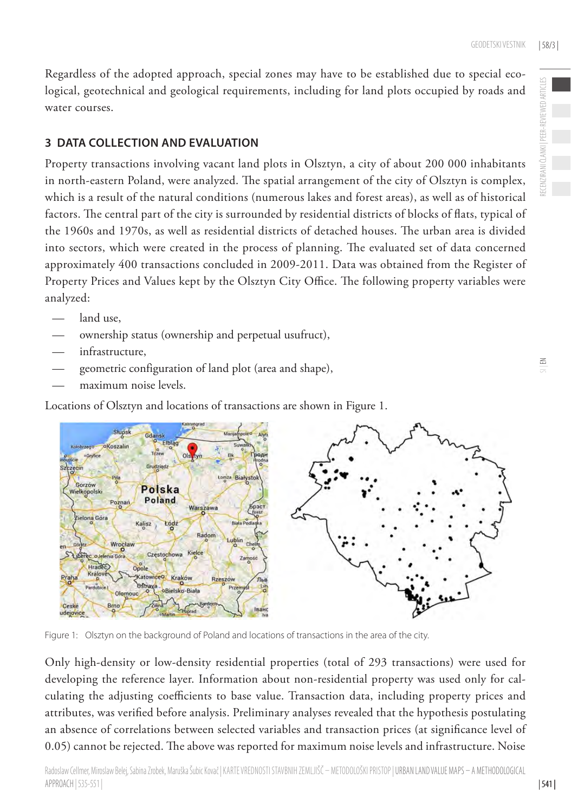Regardless of the adopted approach, special zones may have to be established due to special ecological, geotechnical and geological requirements, including for land plots occupied by roads and water courses.

#### **3 DATA COLLECTION AND EVALUATION**

Property transactions involving vacant land plots in Olsztyn, a city of about 200 000 inhabitants in north-eastern Poland, were analyzed. The spatial arrangement of the city of Olsztyn is complex, which is a result of the natural conditions (numerous lakes and forest areas), as well as of historical factors. The central part of the city is surrounded by residential districts of blocks of flats, typical of the 1960s and 1970s, as well as residential districts of detached houses. The urban area is divided into sectors, which were created in the process of planning. The evaluated set of data concerned approximately 400 transactions concluded in 2009-2011. Data was obtained from the Register of Property Prices and Values kept by the Olsztyn City Office. The following property variables were analyzed:

- land use,
- ownership status (ownership and perpetual usufruct),
- infrastructure.
- geometric configuration of land plot (area and shape),
- maximum noise levels.

Locations of Olsztyn and locations of transactions are shown in Figure 1.



Figure 1: Olsztyn on the background of Poland and locations of transactions in the area of the city.

Only high-density or low-density residential properties (total of 293 transactions) were used for developing the reference layer. Information about non-residential property was used only for calculating the adjusting coefficients to base value. Transaction data, including property prices and attributes, was verified before analysis. Preliminary analyses revealed that the hypothesis postulating an absence of correlations between selected variables and transaction prices (at significance level of 0.05) cannot be rejected. The above was reported for maximum noise levels and infrastructure. Noise

PEER-REVIEWED ARTICLES RECENZIRANI ČLANKI | PEER-REVIEWED ARTICLES

| 541 |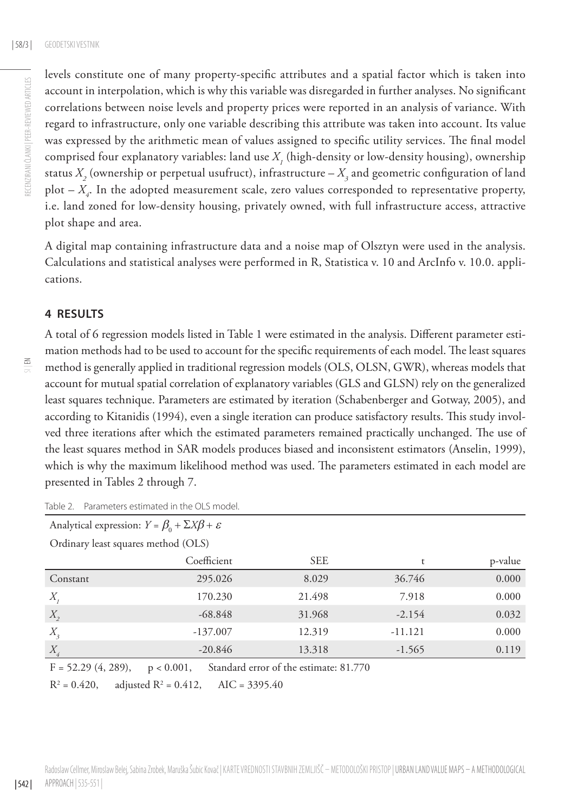levels constitute one of many property-specific attributes and a spatial factor which is taken into account in interpolation, which is why this variable was disregarded in further analyses. No significant correlations between noise levels and property prices were reported in an analysis of variance. With regard to infrastructure, only one variable describing this attribute was taken into account. Its value was expressed by the arithmetic mean of values assigned to specific utility services. The final model comprised four explanatory variables: land use  $X_{\rm I}$  (high-density or low-density housing), ownership status  $X^2_2$  (ownership or perpetual usufruct), infrastructure –  $X^3_3$  and geometric configuration of land plot – *X4* . In the adopted measurement scale, zero values corresponded to representative property, i.e. land zoned for low-density housing, privately owned, with full infrastructure access, attractive plot shape and area.

A digital map containing infrastructure data and a noise map of Olsztyn were used in the analysis. Calculations and statistical analyses were performed in R, Statistica v. 10 and ArcInfo v. 10.0. applications.

### **4 RESULTS**

A total of 6 regression models listed in Table 1 were estimated in the analysis. Different parameter estimation methods had to be used to account for the specific requirements of each model. The least squares method is generally applied in traditional regression models (OLS, OLSN, GWR), whereas models that account for mutual spatial correlation of explanatory variables (GLS and GLSN) rely on the generalized least squares technique. Parameters are estimated by iteration (Schabenberger and Gotway, 2005), and according to Kitanidis (1994), even a single iteration can produce satisfactory results. This study involved three iterations after which the estimated parameters remained practically unchanged. The use of the least squares method in SAR models produces biased and inconsistent estimators (Anselin, 1999), which is why the maximum likelihood method was used. The parameters estimated in each model are presented in Tables 2 through 7.

|                                                                                 | ושטוכ ב. – דשושו וכנכוס כסמו ושנכש וודנווכ טבס וווטשכו.             |            |           |         |  |  |  |
|---------------------------------------------------------------------------------|---------------------------------------------------------------------|------------|-----------|---------|--|--|--|
|                                                                                 | Analytical expression: $Y = \beta_0 + \Sigma X \beta + \varepsilon$ |            |           |         |  |  |  |
| Ordinary least squares method (OLS)                                             |                                                                     |            |           |         |  |  |  |
|                                                                                 | Coefficient                                                         | <b>SEE</b> | t         | p-value |  |  |  |
| Constant                                                                        | 295.026                                                             | 8.029      | 36.746    | 0.000   |  |  |  |
| $X_{i}$                                                                         | 170.230                                                             | 21.498     | 7.918     | 0.000   |  |  |  |
| $X_{2}$                                                                         | $-68.848$                                                           | 31.968     | $-2.154$  | 0.032   |  |  |  |
| $X_{3}$                                                                         | $-137.007$                                                          | 12.319     | $-11.121$ | 0.000   |  |  |  |
| $X_{\cdot}$                                                                     | $-20.846$                                                           | 13.318     | $-1.565$  | 0.119   |  |  |  |
| $\sim$ $\sim$ $(1 - \alpha \alpha)$<br>$\sim$ 1 $\sim$ $\sim$<br>$\sim$ $ \sim$ |                                                                     |            |           |         |  |  |  |

Table 2. Parameters estimated in the OLS model

 $F = 52.29 (4, 289), p < 0.001,$  Standard error of the estimate: 81.770

 $R^2 = 0.420$ ,  $= 0.420$ , adjusted R<sup>2</sup> = 0.412, AIC = 3395.40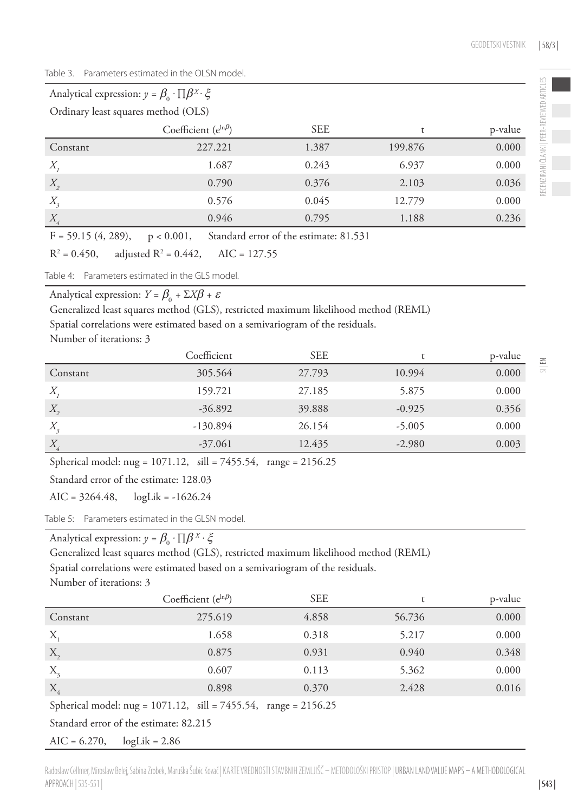Table 3. Parameters estimated in the OLSN model.

| Analytical expression: $y = \beta_0 \cdot \prod \beta^x \cdot \xi$ |                                 |                           |         |         |  |  |  |
|--------------------------------------------------------------------|---------------------------------|---------------------------|---------|---------|--|--|--|
| Ordinary least squares method (OLS)                                |                                 |                           |         |         |  |  |  |
|                                                                    | Coefficient ( $e^{\ln \beta}$ ) | <b>SEE</b>                |         | p-value |  |  |  |
| Constant                                                           | 227.221                         | 1.387                     | 199.876 | 0.000   |  |  |  |
| $X_{\cdot}$                                                        | 1.687                           | 0.243                     | 6.937   | 0.000   |  |  |  |
| $X_{2}$                                                            | 0.790                           | 0.376                     | 2.103   | 0.036   |  |  |  |
| $X_{3}$                                                            | 0.576                           | 0.045                     | 12.779  | 0.000   |  |  |  |
| $X_{\check{q}}$                                                    | 0.946                           | 0.795                     | 1.188   | 0.236   |  |  |  |
| $\Gamma$ $\sim$ $\sim$ $\sim$ $\sim$ $\sim$ $\sim$                 | $\sim$ 1 1<br>0.001             | $\sim$ 1 $\sim$<br>01.721 |         |         |  |  |  |

 $F = 59.15 (4, 289), p < 0.001,$  Standard error of the estimate: 81.531

 $R^2 = 0.450$ , adjusted  $R^2$  = 0.442,  $AIC = 127.55$ 

Table 4: Parameters estimated in the GLS model.

Analytical expression:  $Y = \beta_0 + \Sigma X \beta + \varepsilon$ 

Generalized least squares method (GLS), restricted maximum likelihood method (REML)

Spatial correlations were estimated based on a semivariogram of the residuals.

Number of iterations: 3

|                 | Coefficient | <b>SEE</b> |          | p-value |
|-----------------|-------------|------------|----------|---------|
| Constant        | 305.564     | 27.793     | 10.994   | 0.000   |
| $X_{\cdot}$     | 159.721     | 27.185     | 5.875    | 0.000   |
| $X_{2}$         | $-36.892$   | 39.888     | $-0.925$ | 0.356   |
| $X_{3}$         | $-130.894$  | 26.154     | $-5.005$ | 0.000   |
| $X_{\check{q}}$ | $-37.061$   | 12.435     | $-2.980$ | 0.003   |

Spherical model: nug = 1071.12, sill = 7455.54, range = 2156.25

Standard error of the estimate: 128.03

 $AIC = 3264.48$ ,  $logLik = -1626.24$ 

Table 5: Parameters estimated in the GLSN model.

Analytical expression:  $y = \beta_0 \cdot \prod \beta^x \cdot \xi$ 

Generalized least squares method (GLS), restricted maximum likelihood method (REML)

Spatial correlations were estimated based on a semivariogram of the residuals.

Number of iterations: 3

|          | Coefficient $(e^{ln \beta})$ | <b>SEE</b> |        | p-value |
|----------|------------------------------|------------|--------|---------|
| Constant | 275.619                      | 4.858      | 56.736 | 0.000   |
| X,       | 1.658                        | 0.318      | 5.217  | 0.000   |
| $X_{2}$  | 0.875                        | 0.931      | 0.940  | 0.348   |
| $X_{3}$  | 0.607                        | 0.113      | 5.362  | 0.000   |
| $X_4$    | 0.898                        | 0.370      | 2.428  | 0.016   |

Spherical model: nug = 1071.12, sill = 7455.54, range = 2156.25

Standard error of the estimate: 82.215

 $AIC = 6.270$ ,  $logLik = 2.86$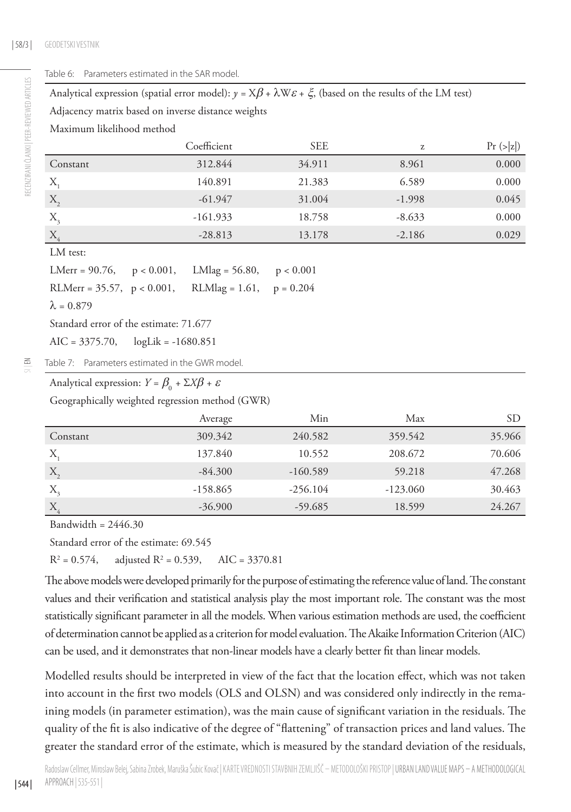$\Xi$ 

#### Table 6: Parameters estimated in the SAR model.

Analytical expression (spatial error model):  $\gamma = X\beta + \lambda W\epsilon + \xi$ , (based on the results of the LM test)

Adjacency matrix based on inverse distance weights

Maximum likelihood method

|                  | Coefficient | <b>SEE</b> | Z        | Pr (> z ) |
|------------------|-------------|------------|----------|-----------|
| Constant         | 312.844     | 34.911     | 8.961    | 0.000     |
| $X_{i}$          | 140.891     | 21.383     | 6.589    | 0.000     |
| X,               | $-61.947$   | 31.004     | $-1.998$ | 0.045     |
| $X_{\mathrm{a}}$ | $-161.933$  | 18.758     | $-8.633$ | 0.000     |
| $X_4$            | $-28.813$   | 13.178     | $-2.186$ | 0.029     |

LM test:

LMerr =  $90.76$ ,  $p < 0.001$ , LMlag =  $56.80$ ,  $p < 0.001$ RLMerr =  $35.57$ ,  $p < 0.001$ , RLMlag = 1.61,  $p = 0.204$  $\lambda = 0.879$ 

Standard error of the estimate: 71.677

AIC = 3375.70, logLik = -1680.851

Table 7: Parameters estimated in the GWR model.

# Analytical expression:  $Y = \beta_0 + \Sigma X \beta + \varepsilon$

Geographically weighted regression method (GWR)

|          | Average    | Min        | Max        | SD     |
|----------|------------|------------|------------|--------|
| Constant | 309.342    | 240.582    | 359.542    | 35.966 |
| Χ.       | 137.840    | 10.552     | 208.672    | 70.606 |
| $X_2$    | $-84.300$  | $-160.589$ | 59.218     | 47.268 |
| $X_{3}$  | $-158.865$ | $-256.104$ | $-123.060$ | 30.463 |
| $X_4$    | $-36.900$  | $-59.685$  | 18.599     | 24.267 |

Bandwidth =  $2446.30$ 

Standard error of the estimate: 69.545

 $R^2 = 0.574$ ,  $= 0.574$ , adjusted R<sup>2</sup> = 0.539, AIC = 3370.81

The above models were developed primarily for the purpose of estimating the reference value of land. The constant values and their verification and statistical analysis play the most important role. The constant was the most statistically significant parameter in all the models. When various estimation methods are used, the coefficient of determination cannot be applied as a criterion for model evaluation. The Akaike Information Criterion (AIC) can be used, and it demonstrates that non-linear models have a clearly better fit than linear models.

Modelled results should be interpreted in view of the fact that the location effect, which was not taken into account in the first two models (OLS and OLSN) and was considered only indirectly in the remaining models (in parameter estimation), was the main cause of significant variation in the residuals. The quality of the fit is also indicative of the degree of "flattening" of transaction prices and land values. The greater the standard error of the estimate, which is measured by the standard deviation of the residuals,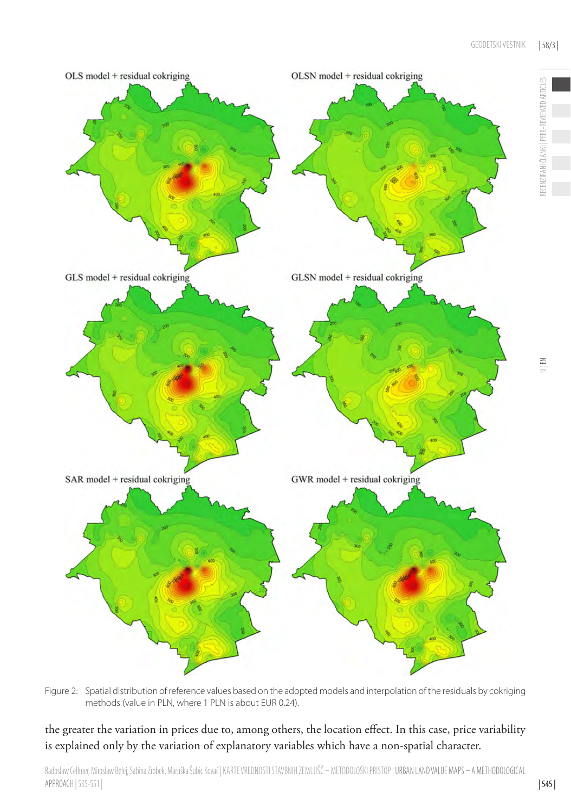

Figure 2: Spatial distribution of reference values based on the adopted models and interpolation of the residuals by cokriging methods (value in PLN, where 1 PLN is about EUR 0.24).

the greater the variation in prices due to, among others, the location effect. In this case, price variability is explained only by the variation of explanatory variables which have a non-spatial character.

RECENZIRANI ČLANKI | PEER-REVIEWED ARTICLES

ECENZIRANI ČLANKI | PEER-REVIEWED ARTICLES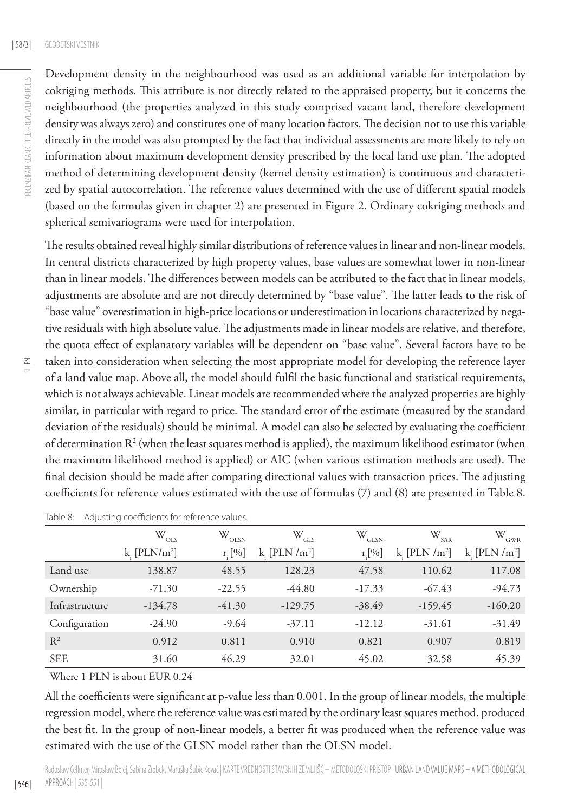$\Xi$ 

Development density in the neighbourhood was used as an additional variable for interpolation by cokriging methods. This attribute is not directly related to the appraised property, but it concerns the neighbourhood (the properties analyzed in this study comprised vacant land, therefore development density was always zero) and constitutes one of many location factors. The decision not to use this variable directly in the model was also prompted by the fact that individual assessments are more likely to rely on information about maximum development density prescribed by the local land use plan. The adopted method of determining development density (kernel density estimation) is continuous and characterized by spatial autocorrelation. The reference values determined with the use of different spatial models (based on the formulas given in chapter 2) are presented in Figure 2. Ordinary cokriging methods and spherical semivariograms were used for interpolation.

The results obtained reveal highly similar distributions of reference values in linear and non-linear models. In central districts characterized by high property values, base values are somewhat lower in non-linear than in linear models. The differences between models can be attributed to the fact that in linear models, adjustments are absolute and are not directly determined by "base value". The latter leads to the risk of "base value" overestimation in high-price locations or underestimation in locations characterized by negative residuals with high absolute value. The adjustments made in linear models are relative, and therefore, the quota effect of explanatory variables will be dependent on "base value". Several factors have to be taken into consideration when selecting the most appropriate model for developing the reference layer of a land value map. Above all, the model should fulfil the basic functional and statistical requirements, which is not always achievable. Linear models are recommended where the analyzed properties are highly similar, in particular with regard to price. The standard error of the estimate (measured by the standard deviation of the residuals) should be minimal. A model can also be selected by evaluating the coefficient of determination  $\mathbb{R}^2$  (when the least squares method is applied), the maximum likelihood estimator (when the maximum likelihood method is applied) or AIC (when various estimation methods are used). The final decision should be made after comparing directional values with transaction prices. The adjusting coefficients for reference values estimated with the use of formulas (7) and (8) are presented in Table 8.

|                | $W_{OLS}$                 | $\mathbb{W}_{_{\rm OLSN}}$ | $W_{GLS}$        | $W_{\text{GLSN}}$ | $\mathbb{W}_{\text{SAR}}$ | $\mathbb{W}_{_{\rm GWR}}$ |
|----------------|---------------------------|----------------------------|------------------|-------------------|---------------------------|---------------------------|
|                | $k$ [PLN/m <sup>2</sup> ] | $r_{\rm i}$ [%]            | k [PLN / $m^2$ ] | $r$ [%]           | k [ $PLN/m2$ ]            | k. $[PLN/m^2]$            |
| Land use       | 138.87                    | 48.55                      | 128.23           | 47.58             | 110.62                    | 117.08                    |
| Ownership      | $-71.30$                  | $-22.55$                   | $-44.80$         | $-17.33$          | $-67.43$                  | $-94.73$                  |
| Infrastructure | $-134.78$                 | $-41.30$                   | $-129.75$        | $-38.49$          | $-159.45$                 | $-160.20$                 |
| Configuration  | $-24.90$                  | $-9.64$                    | $-37.11$         | $-12.12$          | $-31.61$                  | $-31.49$                  |
| $\mathbb{R}^2$ | 0.912                     | 0.811                      | 0.910            | 0.821             | 0.907                     | 0.819                     |
| <b>SEE</b>     | 31.60                     | 46.29                      | 32.01            | 45.02             | 32.58                     | 45.39                     |

Where 1 PLN is about EUR 0.24

| 546 |

All the coefficients were significant at p-value less than 0.001. In the group of linear models, the multiple regression model, where the reference value was estimated by the ordinary least squares method, produced the best fit. In the group of non-linear models, a better fit was produced when the reference value was estimated with the use of the GLSN model rather than the OLSN model.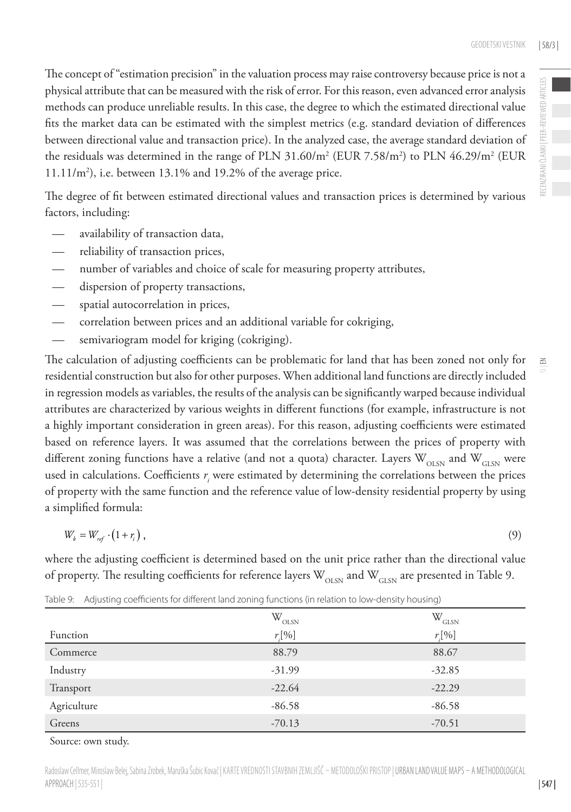The concept of "estimation precision" in the valuation process may raise controversy because price is not a physical attribute that can be measured with the risk of error. For this reason, even advanced error analysis methods can produce unreliable results. In this case, the degree to which the estimated directional value fits the market data can be estimated with the simplest metrics (e.g. standard deviation of differences between directional value and transaction price). In the analyzed case, the average standard deviation of the residuals was determined in the range of PLN 31.60/m<sup>2</sup> (EUR 7.58/m<sup>2</sup>) to PLN 46.29/m<sup>2</sup> (EUR  $11.11/m<sup>2</sup>$ ), i.e. between 13.1% and 19.2% of the average price.

The degree of fit between estimated directional values and transaction prices is determined by various factors, including:

- availability of transaction data,
- reliability of transaction prices,
- number of variables and choice of scale for measuring property attributes,
- dispersion of property transactions,
- spatial autocorrelation in prices,
- correlation between prices and an additional variable for cokriging,
- semivariogram model for kriging (cokriging).

The calculation of adjusting coefficients can be problematic for land that has been zoned not only for residential construction but also for other purposes. When additional land functions are directly included in regression models as variables, the results of the analysis can be significantly warped because individual attributes are characterized by various weights in different functions (for example, infrastructure is not a highly important consideration in green areas). For this reason, adjusting coefficients were estimated based on reference layers. It was assumed that the correlations between the prices of property with different zoning functions have a relative (and not a quota) character. Layers  $W_{OLSN}$  and  $W_{GLSN}$  were used in calculations. Coefficients  $r_i$  were estimated by determining the correlations between the prices of property with the same function and the reference value of low-density residential property by using a simplified formula:

$$
W_k = W_{ref} \cdot (1+r_i) \tag{9}
$$

where the adjusting coefficient is determined based on the unit price rather than the directional value of property. The resulting coefficients for reference layers  $W_{\text{OLSM}}$  and  $W_{\text{GLSM}}$  are presented in Table 9.

|             | $W_{OLSN}$  | $\mathbf{W}_{\text{GLSN}}$ |
|-------------|-------------|----------------------------|
| Function    | $r_{i}$ [%] | $r_{i}$ [%]                |
| Commerce    | 88.79       | 88.67                      |
| Industry    | $-31.99$    | $-32.85$                   |
| Transport   | $-22.64$    | $-22.29$                   |
| Agriculture | $-86.58$    | $-86.58$                   |
| Greens      | $-70.13$    | $-70.51$                   |

Table 9: Adjusting coefficients for different land zoning functions (in relation to low-density housing)

Source: own study.

Radoslaw Cellmer, Miroslaw Belej, Sabina Zrobek, Maruška Šubic Kovač | KARTE VREDNOSTI STAVBNIH ZEMLJIŠČ – METODOLOŠKI PRISTOP | URBAN LAND VALUE MAPS – A METHODOLOGICAL APPROACH | 535-551 |

 $\leq$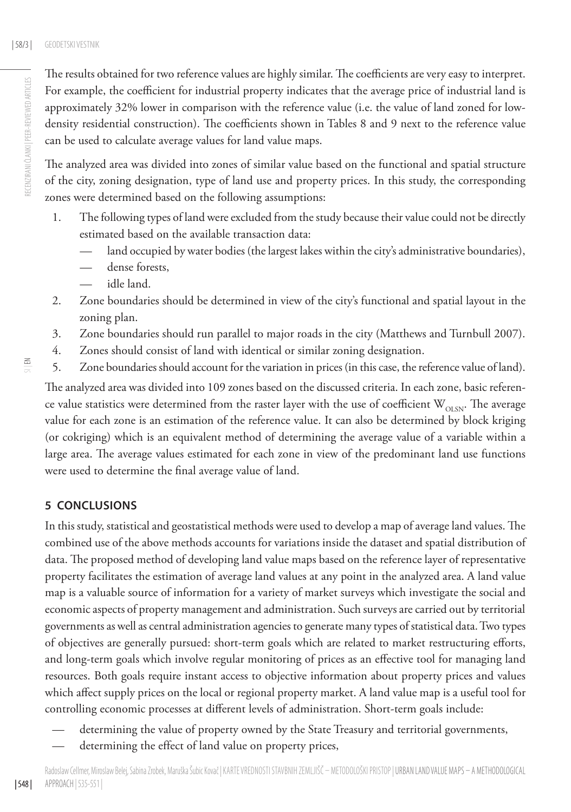The results obtained for two reference values are highly similar. The coefficients are very easy to interpret. For example, the coefficient for industrial property indicates that the average price of industrial land is approximately 32% lower in comparison with the reference value (i.e. the value of land zoned for lowdensity residential construction). The coefficients shown in Tables 8 and 9 next to the reference value can be used to calculate average values for land value maps.

The analyzed area was divided into zones of similar value based on the functional and spatial structure of the city, zoning designation, type of land use and property prices. In this study, the corresponding zones were determined based on the following assumptions:

- 1. The following types of land were excluded from the study because their value could not be directly estimated based on the available transaction data:
	- land occupied by water bodies (the largest lakes within the city's administrative boundaries),
	- dense forests,
	- idle land.
- 2. Zone boundaries should be determined in view of the city's functional and spatial layout in the zoning plan.
- 3. Zone boundaries should run parallel to major roads in the city (Matthews and Turnbull 2007).
- 4. Zones should consist of land with identical or similar zoning designation.
- 5. Zone boundaries should account for the variation in prices (in this case, the reference value of land).

The analyzed area was divided into 109 zones based on the discussed criteria. In each zone, basic reference value statistics were determined from the raster layer with the use of coefficient  $W_{\text{OLSN}}$ . The average value for each zone is an estimation of the reference value. It can also be determined by block kriging (or cokriging) which is an equivalent method of determining the average value of a variable within a large area. The average values estimated for each zone in view of the predominant land use functions were used to determine the final average value of land.

# **5 CONCLUSIONS**

In this study, statistical and geostatistical methods were used to develop a map of average land values. The combined use of the above methods accounts for variations inside the dataset and spatial distribution of data. The proposed method of developing land value maps based on the reference layer of representative property facilitates the estimation of average land values at any point in the analyzed area. A land value map is a valuable source of information for a variety of market surveys which investigate the social and economic aspects of property management and administration. Such surveys are carried out by territorial governments as well as central administration agencies to generate many types of statistical data. Two types of objectives are generally pursued: short-term goals which are related to market restructuring efforts, and long-term goals which involve regular monitoring of prices as an effective tool for managing land resources. Both goals require instant access to objective information about property prices and values which affect supply prices on the local or regional property market. A land value map is a useful tool for controlling economic processes at different levels of administration. Short-term goals include:

- determining the value of property owned by the State Treasury and territorial governments,
- determining the effect of land value on property prices,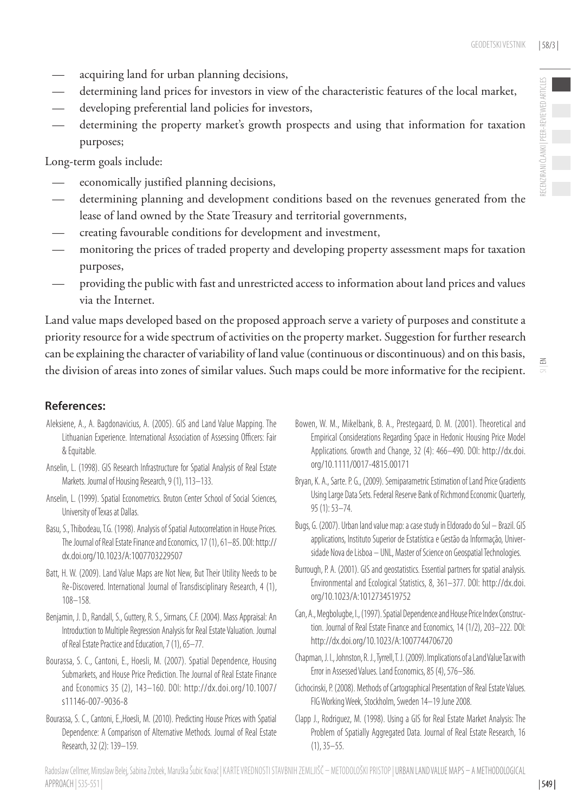$\leq$ 

- acquiring land for urban planning decisions,
- determining land prices for investors in view of the characteristic features of the local market,
- developing preferential land policies for investors,
- determining the property market's growth prospects and using that information for taxation purposes;

Long-term goals include:

- economically justified planning decisions,
- determining planning and development conditions based on the revenues generated from the lease of land owned by the State Treasury and territorial governments,
- creating favourable conditions for development and investment,
- monitoring the prices of traded property and developing property assessment maps for taxation purposes,
- providing the public with fast and unrestricted access to information about land prices and values via the Internet.

Land value maps developed based on the proposed approach serve a variety of purposes and constitute a priority resource for a wide spectrum of activities on the property market. Suggestion for further research can be explaining the character of variability of land value (continuous or discontinuous) and on this basis, the division of areas into zones of similar values. Such maps could be more informative for the recipient.

# **References:**

- Aleksiene, A., A. Bagdonavicius, A. (2005). GIS and Land Value Mapping. The Lithuanian Experience. International Association of Assessing Officers: Fair & Equitable.
- Anselin, L. (1998). GIS Research Infrastructure for Spatial Analysis of Real Estate Markets. Journal of Housing Research, 9 (1), 113–133.
- Anselin, L. (1999). Spatial Econometrics. Bruton Center School of Social Sciences, University of Texas at Dallas.
- Basu, S., Thibodeau, T.G. (1998). Analysis of Spatial Autocorrelation in House Prices. The Journal of Real Estate Finance and Economics, 17 (1), 61–85. DOI: [http://](http://dx.doi.org/10.1023/A:1007703229507) [dx.doi.org/10.1023/A:1007703229507](http://dx.doi.org/10.1023/A:1007703229507)
- Batt, H. W. (2009). Land Value Maps are Not New, But Their Utility Needs to be Re-Discovered. International Journal of Transdisciplinary Research, 4 (1), 108–158.
- Benjamin, J. D., Randall, S., Guttery, R. S., Sirmans, C.F. (2004). Mass Appraisal: An Introduction to Multiple Regression Analysis for Real Estate Valuation. Journal of Real Estate Practice and Education, 7 (1), 65–77.
- Bourassa, S. C., Cantoni, E., Hoesli, M. (2007). Spatial Dependence, Housing Submarkets, and House Price Prediction. The Journal of Real Estate Finance and Economics 35 (2), 143–160. DOI: [http://dx.doi.org/10.1007/](http://dx.doi.org/10.1007/s11146-007-9036-8) [s11146-007-9036-8](http://dx.doi.org/10.1007/s11146-007-9036-8)
- Bourassa, S. C., Cantoni, E.,Hoesli, M. (2010). Predicting House Prices with Spatial Dependence: A Comparison of Alternative Methods. Journal of Real Estate Research, 32 (2): 139–159.
- Bowen, W. M., Mikelbank, B. A., Prestegaard, D. M. (2001). Theoretical and Empirical Considerations Regarding Space in Hedonic Housing Price Model Applications. Growth and Change, 32 (4): 466–490. DOI: [http://dx.doi.](http://dx.doi.org/10.1111/0017-4815.00171) [org/10.1111/0017-4815.00171](http://dx.doi.org/10.1111/0017-4815.00171)
- Bryan, K. A., Sarte. P. G., (2009). Semiparametric Estimation of Land Price Gradients Using Large Data Sets. Federal Reserve Bank of Richmond Economic Quarterly, 95 (1): 53–74.
- Bugs, G. (2007). [Urban land value map: a case study in Eldorado do Sul Brazil.](http://www.slideshare.net/gaup_geo/urban-land-value-map-a-case-study-in-eldorado-do-sul-brazil-geisa-bugs-8873637) GIS applications, Instituto Superior de Estatística e Gestão da Informação, Universidade Nova de Lisboa – UNL, Master of Science on Geospatial Technologies.
- Burrough, P. A. (2001). GIS and geostatistics. Essential partners for spatial analysis. Environmental and Ecological Statistics, 8, 361–377. DOI: [http://dx.doi.](http://dx.doi.org/10.1023/A:1012734519752) [org/10.1023/A:1012734519752](http://dx.doi.org/10.1023/A:1012734519752)
- Can, A., Megbolugbe, I., (1997). Spatial Dependence and House Price Index Construction. Journal of Real Estate Finance and Economics, 14 (1/2), 203–222. DOI: <http://dx.doi.org/10.1023/A:1007744706720>
- Chapman, J. I., Johnston, R. J., Tyrrell, T. J. (2009). Implications of a Land Value Tax with Error in Assessed Values. Land Economics, 85 (4), 576–586.
- Cichocinski, P. (2008). Methods of Cartographical Presentation of Real Estate Values. FIG Working Week, Stockholm, Sweden 14–19 June 2008.
- Clapp J., Rodriguez, M. (1998). Using a GIS for Real Estate Market Analysis: The Problem of Spatially Aggregated Data. Journal of Real Estate Research, 16 (1), 35–55.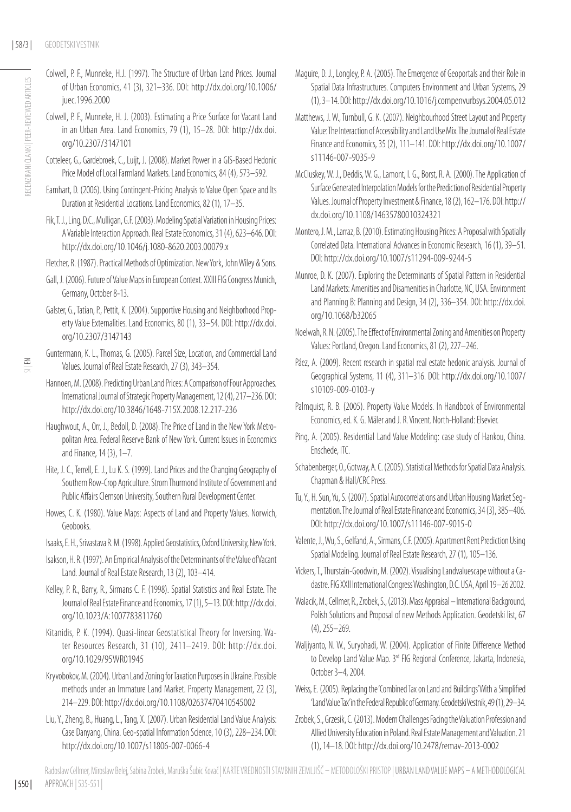- Colwell, P. F., Munneke, H.J. (1997). The Structure of Urban Land Prices. Journal of Urban Economics, 41 (3), 321–336. DOI: [http://dx.doi.org/10.1006/](http://dx.doi.org/10.1006/juec.1996.2000) [juec.1996.2000](http://dx.doi.org/10.1006/juec.1996.2000)
- Colwell, P. F., Munneke, H. J. (2003). Estimating a Price Surface for Vacant Land in an Urban Area. Land Economics, 79 (1), 15–28. DOI: [http://dx.doi.](http://dx.doi.org/10.2307/3147101) [org/10.2307/3147101](http://dx.doi.org/10.2307/3147101)
- Cotteleer, G., Gardebroek, C., Luijt, J. (2008). Market Power in a GIS-Based Hedonic Price Model of Local Farmland Markets. Land Economics, 84 (4), 573–592.
- Earnhart, D. (2006). Using Contingent-Pricing Analysis to Value Open Space and Its Duration at Residential Locations. Land Economics, 82 (1), 17–35.
- Fik, T. J., Ling, D.C., Mulligan, G.F. (2003). Modeling Spatial Variation in Housing Prices: A Variable Interaction Approach. Real Estate Economics, 31 (4), 623–646. DOI: <http://dx.doi.org/10.1046/j.1080-8620.2003.00079.x>
- Fletcher, R. (1987). Practical Methods of Optimization. New York, John Wiley & Sons.
- Gall, J. (2006). Future of Value Maps in European Context. XXIII FIG Congress Munich, Germany, October 8-13.
- Galster, G., Tatian, P., Pettit, K. (2004). Supportive Housing and Neighborhood Property Value Externalities. Land Economics, 80 (1), 33–54. DOI: [http://dx.doi.](http://dx.doi.org/10.2307/3147143) [org/10.2307/3147143](http://dx.doi.org/10.2307/3147143)

- Hannoen, M. (2008). Predicting Urban Land Prices: A Comparison of Four Approaches. International Journal of Strategic Property Management, 12 (4), 217–236. DOI: <http://dx.doi.org/10.3846/1648-715X.2008.12.217-236>
- Haughwout, A., Orr, J., Bedoll, D. (2008). The Price of Land in the New York Metropolitan Area. Federal Reserve Bank of New York. Current Issues in Economics and Finance, 14 (3), 1–7.
- Hite, J. C., Terrell, E. J., Lu K. S. (1999). Land Prices and the Changing Geography of Southern Row-Crop Agriculture. Strom Thurmond Institute of Government and Public Affairs Clemson University, Southern Rural Development Center.
- Howes, C. K. (1980). Value Maps: Aspects of Land and Property Values. Norwich, Geobooks.
- Isaaks, E. H., Srivastava R. M. (1998). Applied Geostatistics, Oxford University, New York.
- Isakson, H. R. (1997). An Empirical Analysis of the Determinants of the Value of Vacant Land. Journal of Real Estate Research, 13 (2), 103–414.
- Kelley, P. R., Barry, R., Sirmans C. F. (1998). Spatial Statistics and Real Estate. The Journal of Real Estate Finance and Economics, 17 (1), 5–13. DOI: [http://dx.doi.](http://dx.doi.org/10.1023/A:1007783811760) [org/10.1023/A:1007783811760](http://dx.doi.org/10.1023/A:1007783811760)
- Kitanidis, P. K. (1994). Quasi-linear Geostatistical Theory for Inversing. Water Resources Research, 31 (10), 2411–2419. DOI: [http://dx.doi.](http://dx.doi.org/10.1029/95WR01945) [org/10.1029/95WR01945](http://dx.doi.org/10.1029/95WR01945)
- Kryvobokov, M. (2004). Urban Land Zoning for Taxation Purposes in Ukraine. Possible methods under an Immature Land Market. Property Management, 22 (3), 214–229. DOI: <http://dx.doi.org/10.1108/02637470410545002>
- Liu, Y., Zheng, B., Huang, L., Tang, X. (2007). Urban Residential Land Value Analysis: Case Danyang, China. Geo-spatial Information Science, 10 (3), 228–234. DOI: <http://dx.doi.org/10.1007/s11806-007-0066-4>
- Maguire, D. J., Longley, P. A. (2005). The Emergence of Geoportals and their Role in Spatial Data Infrastructures. Computers Environment and Urban Systems, 29 (1), 3–14. DOI:<http://dx.doi.org/10.1016/j.compenvurbsys.2004.05.012>
- Matthews, J. W., Turnbull, G. K. (2007). Neighbourhood Street Layout and Property Value: The Interaction of Accessibility and Land Use Mix. The Journal of Real Estate Finance and Economics, 35 (2), 111–141. DOI: [http://dx.doi.org/10.1007/](http://dx.doi.org/10.1007/s11146-007-9035-9) [s11146-007-9035-9](http://dx.doi.org/10.1007/s11146-007-9035-9)
- McCluskey, W. J., Deddis, W. G., Lamont, I. G., Borst, R. A. (2000). The Application of Surface Generated Interpolation Models for the Prediction of Residential Property Values. Journal of Property Investment & Finance, 18 (2), 162–176. DOI: [http://](http://dx.doi.org/10.1108/14635780010324321) [dx.doi.org/10.1108/14635780010324321](http://dx.doi.org/10.1108/14635780010324321)
- Montero, J. M., Larraz, B. (2010). Estimating Housing Prices: A Proposal with Spatially Correlated Data. International Advances in Economic Research, 16 (1), 39–51. DOI: <http://dx.doi.org/10.1007/s11294-009-9244-5>
- Munroe, D. K. (2007). Exploring the Determinants of Spatial Pattern in Residential Land Markets: Amenities and Disamenities in Charlotte, NC, USA. Environment and Planning B: Planning and Design, 34 (2), 336–354. DOI: [http://dx.doi.](http://dx.doi.org/10.1068/b32065) [org/10.1068/b32065](http://dx.doi.org/10.1068/b32065)
- Noelwah, R. N. (2005). The Effect of Environmental Zoning and Amenities on Property Values: Portland, Oregon. Land Economics, 81 (2), 227–246.
- Páez, A. (2009). Recent research in spatial real estate hedonic analysis. Journal of Geographical Systems, 11 (4), 311–316. DOI: [http://dx.doi.org/10.1007/](http://dx.doi.org/10.1007/s10109-009-0103-y) [s10109-009-0103-y](http://dx.doi.org/10.1007/s10109-009-0103-y)
- Palmquist, R. B. (2005). Property Value Models. In Handbook of Environmental Economics, ed. K. G. Mäler and J. R. Vincent. North-Holland: Elsevier.
- Ping, A. (2005). Residential Land Value Modeling: case study of Hankou, China. Enschede, ITC.
- Schabenberger, O., Gotway, A. C. (2005). Statistical Methods for Spatial Data Analysis. Chapman & Hall/CRC Press.
- Tu, Y., H. Sun, Yu, S. (2007). Spatial Autocorrelations and Urban Housing Market Segmentation. The Journal of Real Estate Finance and Economics, 34 (3), 385–406. DOI: <http://dx.doi.org/10.1007/s11146-007-9015-0>
- Valente, J., Wu, S., Gelfand, A., Sirmans, C.F. (2005). Apartment Rent Prediction Using Spatial Modeling. Journal of Real Estate Research, 27 (1), 105–136.
- Vickers, T., Thurstain-Goodwin, M. (2002). Visualising Landvaluescape without a Cadastre. FIG XXII International Congress Washington, D.C. USA, April 19–26 2002.
- Walacik, M., Cellmer, R., Zrobek, S., (2013). Mass Appraisal International Background, Polish Solutions and Proposal of new Methods Application. Geodetski list, 67 (4), 255–269.
- Waljiyanto, N. W., Suryohadi, W. (2004). Application of Finite Difference Method to Develop Land Value Map. 3<sup>rd</sup> FIG Regional Conference, Jakarta, Indonesia, October 3–4, 2004.
- Weiss, E. (2005). Replacing the 'Combined Tax on Land and Buildings' With a Simplified 'Land Value Tax' in the Federal Republic of Germany. Geodetski Vestnik, 49 (1), 29–34.
- Zrobek, S., Grzesik, C. (2013). Modern Challenges Facing the Valuation Profession and Allied University Education in Poland. Real Estate Management and Valuation. 21 (1), 14–18. DOI: <http://dx.doi.org/10.2478/remav-2013-0002>

 $\leq$ 

Guntermann, K. L., Thomas, G. (2005). Parcel Size, Location, and Commercial Land Values. Journal of Real Estate Research, 27 (3), 343–354.